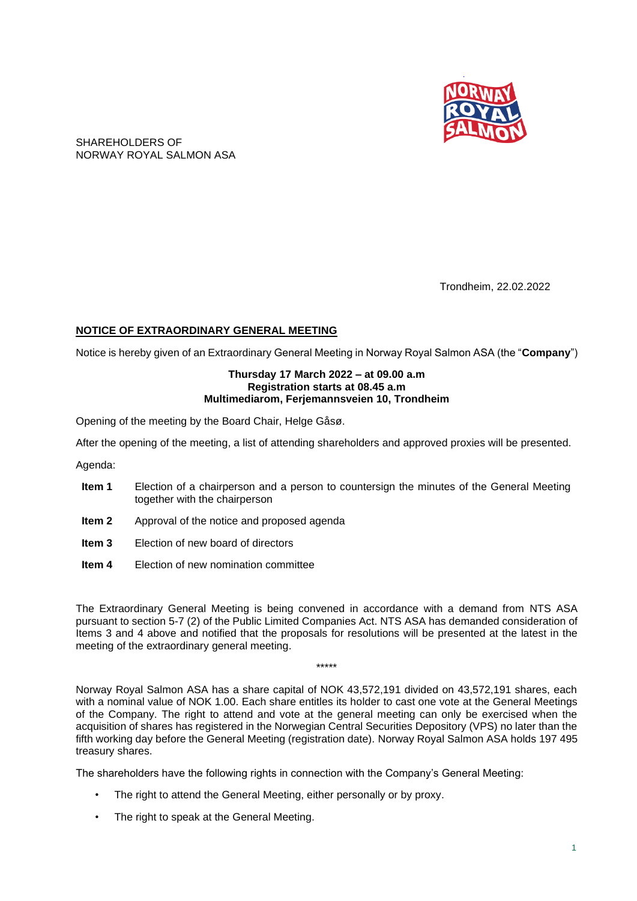

SHAREHOLDERS OF NORWAY ROYAL SALMON ASA

Trondheim, 22.02.2022

## **NOTICE OF EXTRAORDINARY GENERAL MEETING**

Notice is hereby given of an Extraordinary General Meeting in Norway Royal Salmon ASA (the "**Company**")

### **Thursday 17 March 2022 – at 09.00 a.m Registration starts at 08.45 a.m Multimediarom, Ferjemannsveien 10, Trondheim**

Opening of the meeting by the Board Chair, Helge Gåsø.

After the opening of the meeting, a list of attending shareholders and approved proxies will be presented.

Agenda:

- **Item 1** Election of a chairperson and a person to countersign the minutes of the General Meeting together with the chairperson
- **Item 2** Approval of the notice and proposed agenda
- **Item 3** Election of new board of directors
- **Item 4** Election of new nomination committee

The Extraordinary General Meeting is being convened in accordance with a demand from NTS ASA pursuant to section 5-7 (2) of the Public Limited Companies Act. NTS ASA has demanded consideration of Items 3 and 4 above and notified that the proposals for resolutions will be presented at the latest in the meeting of the extraordinary general meeting.

\*\*\*\*\*

Norway Royal Salmon ASA has a share capital of NOK 43,572,191 divided on 43,572,191 shares, each with a nominal value of NOK 1.00. Each share entitles its holder to cast one vote at the General Meetings of the Company. The right to attend and vote at the general meeting can only be exercised when the acquisition of shares has registered in the Norwegian Central Securities Depository (VPS) no later than the fifth working day before the General Meeting (registration date). Norway Royal Salmon ASA holds 197 495 treasury shares.

The shareholders have the following rights in connection with the Company's General Meeting:

- The right to attend the General Meeting, either personally or by proxy.
- The right to speak at the General Meeting.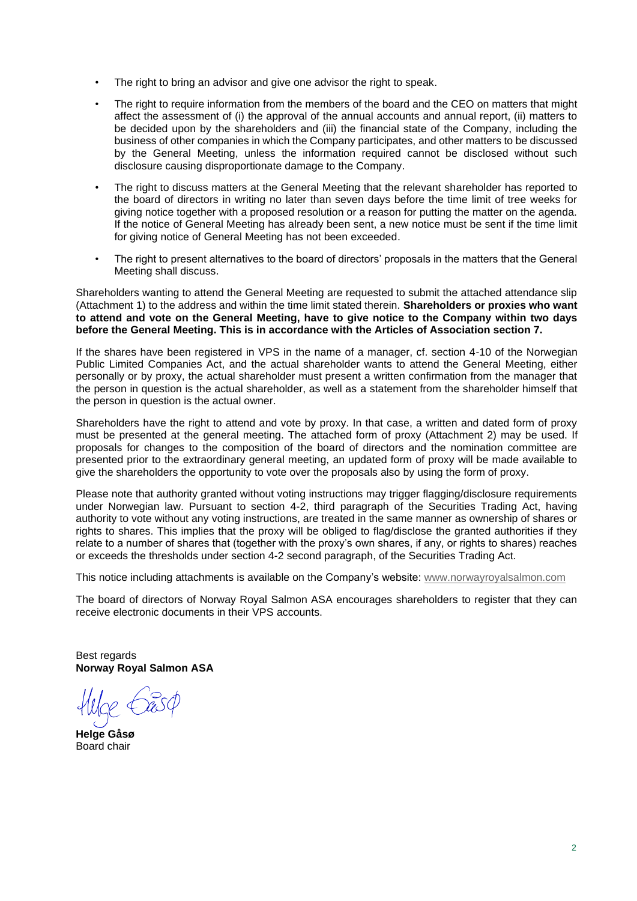- The right to bring an advisor and give one advisor the right to speak.
- The right to require information from the members of the board and the CEO on matters that might affect the assessment of (i) the approval of the annual accounts and annual report, (ii) matters to be decided upon by the shareholders and (iii) the financial state of the Company, including the business of other companies in which the Company participates, and other matters to be discussed by the General Meeting, unless the information required cannot be disclosed without such disclosure causing disproportionate damage to the Company.
- The right to discuss matters at the General Meeting that the relevant shareholder has reported to the board of directors in writing no later than seven days before the time limit of tree weeks for giving notice together with a proposed resolution or a reason for putting the matter on the agenda. If the notice of General Meeting has already been sent, a new notice must be sent if the time limit for giving notice of General Meeting has not been exceeded.
- The right to present alternatives to the board of directors' proposals in the matters that the General Meeting shall discuss.

Shareholders wanting to attend the General Meeting are requested to submit the attached attendance slip (Attachment 1) to the address and within the time limit stated therein. **Shareholders or proxies who want to attend and vote on the General Meeting, have to give notice to the Company within two days before the General Meeting. This is in accordance with the Articles of Association section 7.**

If the shares have been registered in VPS in the name of a manager, cf. section 4-10 of the Norwegian Public Limited Companies Act, and the actual shareholder wants to attend the General Meeting, either personally or by proxy, the actual shareholder must present a written confirmation from the manager that the person in question is the actual shareholder, as well as a statement from the shareholder himself that the person in question is the actual owner.

Shareholders have the right to attend and vote by proxy. In that case, a written and dated form of proxy must be presented at the general meeting. The attached form of proxy (Attachment 2) may be used. If proposals for changes to the composition of the board of directors and the nomination committee are presented prior to the extraordinary general meeting, an updated form of proxy will be made available to give the shareholders the opportunity to vote over the proposals also by using the form of proxy.

Please note that authority granted without voting instructions may trigger flagging/disclosure requirements under Norwegian law. Pursuant to section 4-2, third paragraph of the Securities Trading Act, having authority to vote without any voting instructions, are treated in the same manner as ownership of shares or rights to shares. This implies that the proxy will be obliged to flag/disclose the granted authorities if they relate to a number of shares that (together with the proxy's own shares, if any, or rights to shares) reaches or exceeds the thresholds under section 4-2 second paragraph, of the Securities Trading Act.

This notice including attachments is available on the Company's website: [www.norwayroyalsalmon.com](http://www.norwayroyalsalmon.com/)

The board of directors of Norway Royal Salmon ASA encourages shareholders to register that they can receive electronic documents in their VPS accounts.

Best regards **Norway Royal Salmon ASA**

**Helge Gåsø** Board chair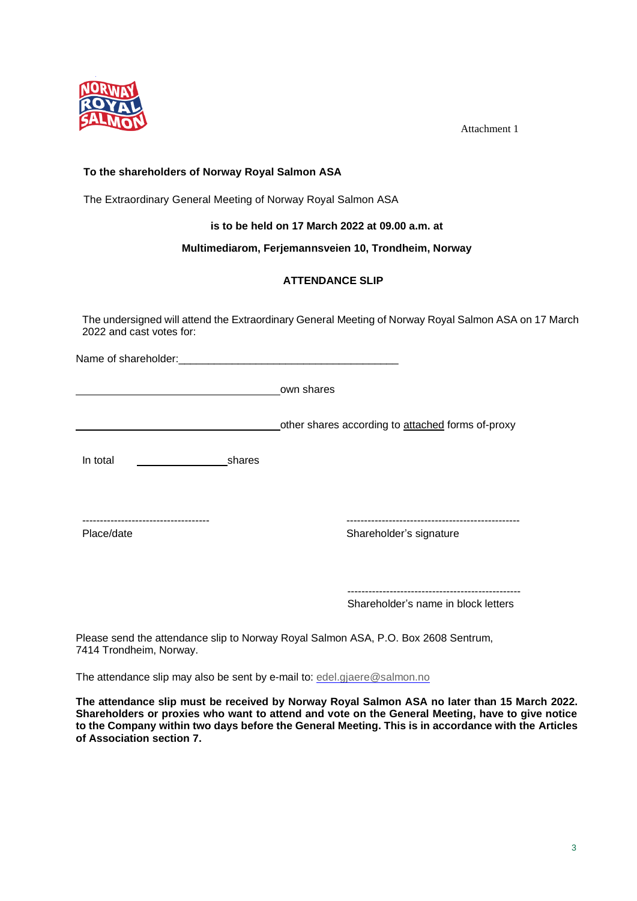

Attachment 1

# **To the shareholders of Norway Royal Salmon ASA**

The Extraordinary General Meeting of Norway Royal Salmon ASA

**is to be held on 17 March 2022 at 09.00 a.m. at**

## **Multimediarom, Ferjemannsveien 10, Trondheim, Norway**

# **ATTENDANCE SLIP**

The undersigned will attend the Extraordinary General Meeting of Norway Royal Salmon ASA on 17 March 2022 and cast votes for:

Name of shareholder:

own shares

other shares according to attached forms of-proxy

In total shares

------------------------------------ -------------------------------------------------

Place/date **Shareholder's** signature

------------------------------------------------- Shareholder's name in block letters

Please send the attendance slip to Norway Royal Salmon ASA, P.O. Box 2608 Sentrum, 7414 Trondheim, Norway.

The attendance slip may also be sent by e-mail to: [edel.gjaere@salmon.no](mailto:edel.gjaere@salmon.no)

**The attendance slip must be received by Norway Royal Salmon ASA no later than 15 March 2022. Shareholders or proxies who want to attend and vote on the General Meeting, have to give notice to the Company within two days before the General Meeting. This is in accordance with the Articles of Association section 7.**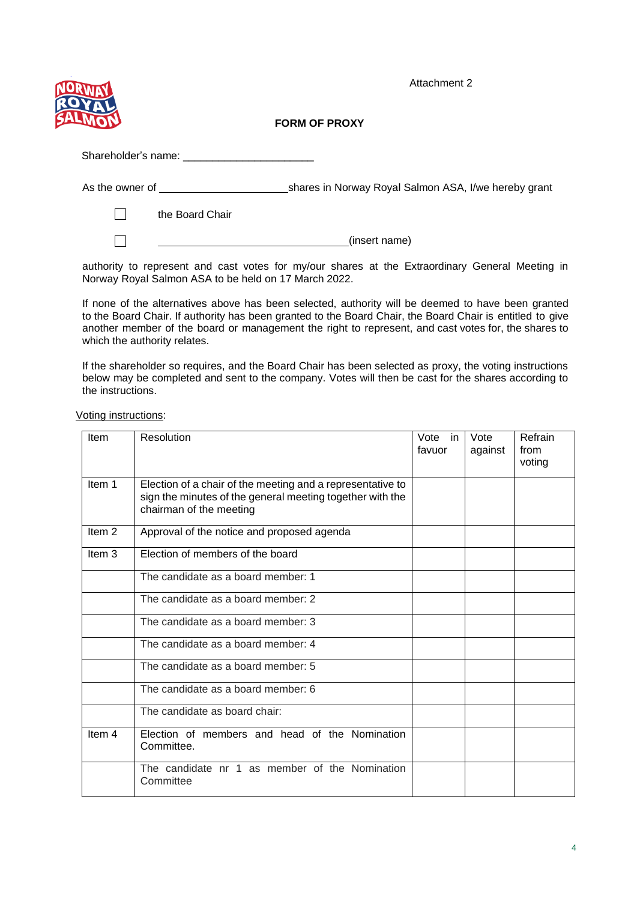Attachment 2



**FORM OF PROXY**

| As the owner of | shares in Norway Royal Salmon ASA, I/we hereby grant |
|-----------------|------------------------------------------------------|
| the Board Chair |                                                      |
|                 | (insert name)                                        |
|                 |                                                      |

authority to represent and cast votes for my/our shares at the Extraordinary General Meeting in Norway Royal Salmon ASA to be held on 17 March 2022.

If none of the alternatives above has been selected, authority will be deemed to have been granted to the Board Chair. If authority has been granted to the Board Chair, the Board Chair is entitled to give another member of the board or management the right to represent, and cast votes for, the shares to which the authority relates.

If the shareholder so requires, and the Board Chair has been selected as proxy, the voting instructions below may be completed and sent to the company. Votes will then be cast for the shares according to the instructions.

Voting instructions:

| Item              | Resolution                                                                                                                                         | Vote in<br>favuor | Vote<br>against | Refrain<br>from<br>voting |
|-------------------|----------------------------------------------------------------------------------------------------------------------------------------------------|-------------------|-----------------|---------------------------|
| Item 1            | Election of a chair of the meeting and a representative to<br>sign the minutes of the general meeting together with the<br>chairman of the meeting |                   |                 |                           |
| Item <sub>2</sub> | Approval of the notice and proposed agenda                                                                                                         |                   |                 |                           |
| Item 3            | Election of members of the board                                                                                                                   |                   |                 |                           |
|                   | The candidate as a board member: 1                                                                                                                 |                   |                 |                           |
|                   | The candidate as a board member: 2                                                                                                                 |                   |                 |                           |
|                   | The candidate as a board member: 3                                                                                                                 |                   |                 |                           |
|                   | The candidate as a board member: 4                                                                                                                 |                   |                 |                           |
|                   | The candidate as a board member: 5                                                                                                                 |                   |                 |                           |
|                   | The candidate as a board member: 6                                                                                                                 |                   |                 |                           |
|                   | The candidate as board chair:                                                                                                                      |                   |                 |                           |
| Item <sub>4</sub> | Election of members and head of the Nomination<br>Committee.                                                                                       |                   |                 |                           |
|                   | The candidate nr 1 as member of the Nomination<br>Committee                                                                                        |                   |                 |                           |